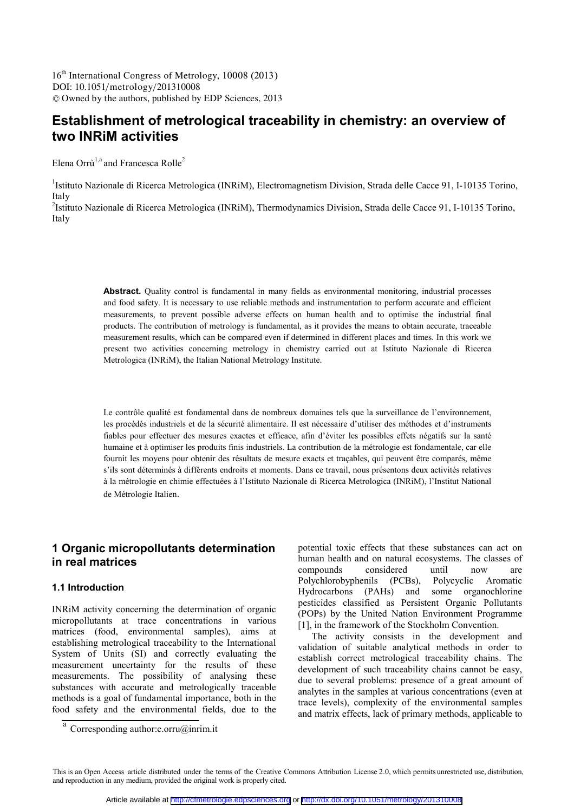DOI: 10.1051/metrology/201310008 <sup>C</sup> Owned by the authors, published by EDP Sciences, 2013 16<sup>th</sup> International Congress of Metrology, 10008 (2013)

# **Establishment of metrological traceability in chemistry: an overview of two INRiM activities**

Elena Orrù<sup>1,a</sup> and Francesca Rolle<sup>2</sup>

<sup>1</sup>Istituto Nazionale di Ricerca Metrologica (INRiM), Electromagnetism Division, Strada delle Cacce 91, I-10135 Torino, Italy

<sup>2</sup>Istituto Nazionale di Ricerca Metrologica (INRiM), Thermodynamics Division, Strada delle Cacce 91, I-10135 Torino, Italy

> **Abstract.** Quality control is fundamental in many fields as environmental monitoring, industrial processes and food safety. It is necessary to use reliable methods and instrumentation to perform accurate and efficient measurements, to prevent possible adverse effects on human health and to optimise the industrial final products. The contribution of metrology is fundamental, as it provides the means to obtain accurate, traceable measurement results, which can be compared even if determined in different places and times. In this work we present two activities concerning metrology in chemistry carried out at Istituto Nazionale di Ricerca Metrologica (INRiM), the Italian National Metrology Institute.

> Le contrôle qualité est fondamental dans de nombreux domaines tels que la surveillance de l'environnement, les procédés industriels et de la sécurité alimentaire. Il est nécessaire d'utiliser des méthodes et d'instruments fiables pour effectuer des mesures exactes et efficace, afin d'éviter les possibles effets négatifs sur la santé humaine et à optimiser les produits finis industriels. La contribution de la métrologie est fondamentale, car elle fournit les moyens pour obtenir des résultats de mesure exacts et traçables, qui peuvent être comparés, même s'ils sont déterminés à différents endroits et moments. Dans ce travail, nous présentons deux activités relatives à la métrologie en chimie effectuées à l'Istituto Nazionale di Ricerca Metrologica (INRiM), l'Institut National de Métrologie Italien.

## **1 Organic micropollutants determination in real matrices**

### **1.1 Introduction**

INRiM activity concerning the determination of organic micropollutants at trace concentrations in various matrices (food, environmental samples), aims at establishing metrological traceability to the International System of Units (SI) and correctly evaluating the measurement uncertainty for the results of these measurements. The possibility of analysing these substances with accurate and metrologically traceable methods is a goal of fundamental importance, both in the food safety and the environmental fields, due to the

potential toxic effects that these substances can act on human health and on natural ecosystems. The classes of compounds considered until now are Polychlorobyphenils (PCBs), Polycyclic Aromatic Hydrocarbons (PAHs) and some organochlorine pesticides classified as Persistent Organic Pollutants (POPs) by the United Nation Environment Programme [1], in the framework of the Stockholm Convention.

The activity consists in the development and validation of suitable analytical methods in order to establish correct metrological traceability chains. The development of such traceability chains cannot be easy, due to several problems: presence of a great amount of analytes in the samples at various concentrations (even at trace levels), complexity of the environmental samples and matrix effects, lack of primary methods, applicable to

<sup>&</sup>lt;sup>a</sup> Corresponding author:e.orru@inrim.it

This is an Open Access article distributed under the terms of the Creative Commons Attribution License 2.0, which permits unrestricted use, distribution, and reproduction in any medium, provided the original work is properly cited.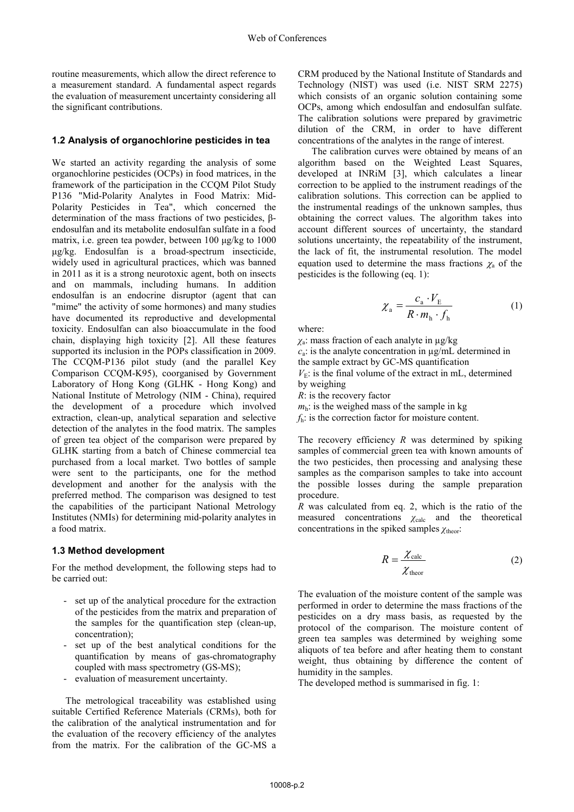routine measurements, which allow the direct reference to a measurement standard. A fundamental aspect regards the evaluation of measurement uncertainty considering all the significant contributions.

#### **1.2 Analysis of organochlorine pesticides in tea**

We started an activity regarding the analysis of some organochlorine pesticides (OCPs) in food matrices, in the framework of the participation in the CCQM Pilot Study P136 "Mid-Polarity Analytes in Food Matrix: Mid-Polarity Pesticides in Tea", which concerned the determination of the mass fractions of two pesticides, βendosulfan and its metabolite endosulfan sulfate in a food matrix, i.e. green tea powder, between 100  $\mu$ g/kg to 1000 µg/kg. Endosulfan is a broad-spectrum insecticide, widely used in agricultural practices, which was banned in 2011 as it is a strong neurotoxic agent, both on insects and on mammals, including humans. In addition endosulfan is an endocrine disruptor (agent that can "mime" the activity of some hormones) and many studies have documented its reproductive and developmental toxicity. Endosulfan can also bioaccumulate in the food chain, displaying high toxicity [2]. All these features supported its inclusion in the POPs classification in 2009. The CCQM-P136 pilot study (and the parallel Key Comparison CCQM-K95), coorganised by Government Laboratory of Hong Kong (GLHK - Hong Kong) and National Institute of Metrology (NIM - China), required the development of a procedure which involved extraction, clean-up, analytical separation and selective detection of the analytes in the food matrix. The samples of green tea object of the comparison were prepared by GLHK starting from a batch of Chinese commercial tea purchased from a local market. Two bottles of sample were sent to the participants, one for the method development and another for the analysis with the preferred method. The comparison was designed to test the capabilities of the participant National Metrology Institutes (NMIs) for determining mid-polarity analytes in a food matrix.

## **1.3 Method development**

For the method development, the following steps had to be carried out:

- set up of the analytical procedure for the extraction of the pesticides from the matrix and preparation of the samples for the quantification step (clean-up, concentration);
- set up of the best analytical conditions for the quantification by means of gas-chromatography coupled with mass spectrometry (GS-MS);
- evaluation of measurement uncertainty.

The metrological traceability was established using suitable Certified Reference Materials (CRMs), both for the calibration of the analytical instrumentation and for the evaluation of the recovery efficiency of the analytes from the matrix. For the calibration of the GC-MS a CRM produced by the National Institute of Standards and Technology (NIST) was used (i.e. NIST SRM 2275) which consists of an organic solution containing some OCPs, among which endosulfan and endosulfan sulfate. The calibration solutions were prepared by gravimetric dilution of the CRM, in order to have different concentrations of the analytes in the range of interest.

The calibration curves were obtained by means of an algorithm based on the Weighted Least Squares, developed at INRiM [3], which calculates a linear correction to be applied to the instrument readings of the calibration solutions. This correction can be applied to the instrumental readings of the unknown samples, thus obtaining the correct values. The algorithm takes into account different sources of uncertainty, the standard solutions uncertainty, the repeatability of the instrument, the lack of fit, the instrumental resolution. The model equation used to determine the mass fractions  $\chi_a$  of the pesticides is the following (eq. 1):

$$
\chi_{\rm a} = \frac{c_{\rm a} \cdot V_{\rm E}}{R \cdot m_{\rm h} \cdot f_{\rm h}} \tag{1}
$$

where:

*χ*a : mass fraction of each analyte in µg/kg  $c_a$ : is the analyte concentration in  $\mu$ g/mL determined in the sample extract by GC-MS quantification  $V<sub>E</sub>$ : is the final volume of the extract in mL, determined by weighing

*R*: is the recovery factor

 $m_h$ : is the weighed mass of the sample in kg *f*h: is the correction factor for moisture content.

The recovery efficiency *R* was determined by spiking samples of commercial green tea with known amounts of the two pesticides, then processing and analysing these samples as the comparison samples to take into account the possible losses during the sample preparation procedure.

*R* was calculated from eq. 2, which is the ratio of the measured concentrations  $\chi_{\text{calc}}$  and the theoretical concentrations in the spiked samples *χ*theor:

$$
R = \frac{\chi_{\text{calc}}}{\chi_{\text{theor}}} \tag{2}
$$

The evaluation of the moisture content of the sample was performed in order to determine the mass fractions of the pesticides on a dry mass basis, as requested by the protocol of the comparison. The moisture content of green tea samples was determined by weighing some aliquots of tea before and after heating them to constant weight, thus obtaining by difference the content of humidity in the samples.

The developed method is summarised in fig. 1: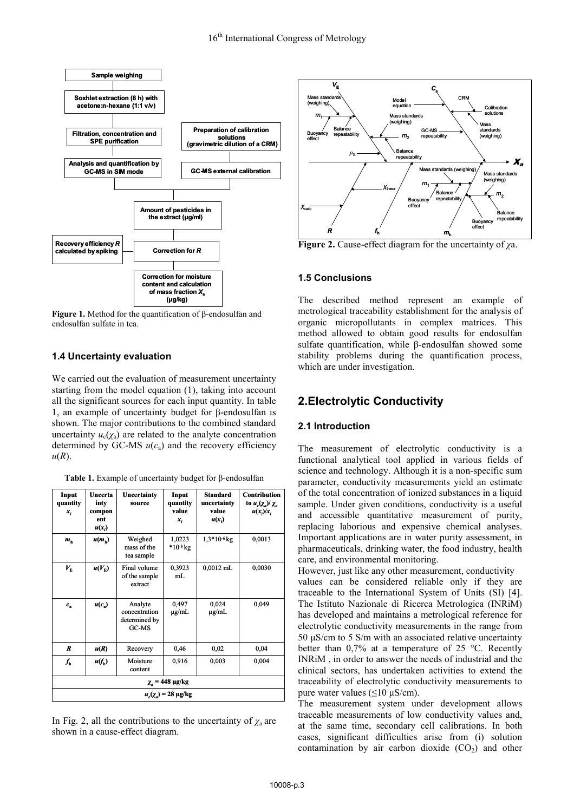

**Figure 1.** Method for the quantification of β-endosulfan and endosulfan sulfate in tea.

## **1.4 Uncertainty evaluation**

We carried out the evaluation of measurement uncertainty starting from the model equation (1), taking into account all the significant sources for each input quantity. In table 1, an example of uncertainty budget for β-endosulfan is shown. The major contributions to the combined standard uncertainty  $u_c(\chi_a)$  are related to the analyte concentration determined by GC-MS  $u(c_a)$  and the recovery efficiency  $u(R)$ .

| Input<br>quantity<br>$x_i$      | Uncerta<br>inty<br>compon<br>ent<br>$u(x_i)$ | Uncertainty<br>source                              | Input<br>quantity<br>value<br>$x_i$ | <b>Standard</b><br>uncertainty<br>value<br>$u(x_i)$ | <b>Contribution</b><br>to $u_c(\chi_a)/\chi_a$<br>$u(x_i)/x_i$ |
|---------------------------------|----------------------------------------------|----------------------------------------------------|-------------------------------------|-----------------------------------------------------|----------------------------------------------------------------|
| $m_h$                           | $u(m_h)$                                     | Weighed<br>mass of the<br>tea sample               | 1,0223<br>$*10^{-3}$ kg             | $1,3*10-6$ kg                                       | 0,0013                                                         |
| $V_{\scriptscriptstyle\rm E}$   | $u(V_{\rm F})$                               | Final volume<br>of the sample<br>extract           | 0,3923<br>mL                        | $0,0012$ mL                                         | 0,0030                                                         |
| $c_{\rm s}$                     | $u(c_*)$                                     | Analyte<br>concentration<br>determined by<br>GC-MS | 0,497<br>$\mu$ g/mL                 | 0,024<br>µg/mL                                      | 0,049                                                          |
| R                               | u(R)                                         | Recovery                                           | 0.46                                | 0,02                                                | 0,04                                                           |
| ſ.                              | $u(f_n)$                                     | Moisture<br>content                                | 0,916                               | 0,003                                               | 0,004                                                          |
| $\chi$ <sub>a</sub> = 448 μg/kg |                                              |                                                    |                                     |                                                     |                                                                |
| $u_c(\chi_c) = 28 \,\mu g/kg$   |                                              |                                                    |                                     |                                                     |                                                                |

In Fig. 2, all the contributions to the uncertainty of  $\chi_a$  are shown in a cause-effect diagram.



**Figure 2.** Cause-effect diagram for the uncertainty of *χ*a.

## **1.5 Conclusions**

The described method represent an example of metrological traceability establishment for the analysis of organic micropollutants in complex matrices. This method allowed to obtain good results for endosulfan sulfate quantification, while β-endosulfan showed some stability problems during the quantification process, which are under investigation.

# **2.Electrolytic Conductivity**

## **2.1 Introduction**

The measurement of electrolytic conductivity is a functional analytical tool applied in various fields of science and technology. Although it is a non-specific sum parameter, conductivity measurements yield an estimate of the total concentration of ionized substances in a liquid sample. Under given conditions, conductivity is a useful and accessible quantitative measurement of purity, replacing laborious and expensive chemical analyses. Important applications are in water purity assessment, in pharmaceuticals, drinking water, the food industry, health care, and environmental monitoring.

However, just like any other measurement, conductivity values can be considered reliable only if they are traceable to the International System of Units (SI) [4]. The Istituto Nazionale di Ricerca Metrologica (INRiM) has developed and maintains a metrological reference for electrolytic conductivity measurements in the range from 50  $\mu$ S/cm to 5 S/m with an associated relative uncertainty better than 0,7% at a temperature of 25 °C. Recently INRiM , in order to answer the needs of industrial and the clinical sectors, has undertaken activities to extend the traceability of electrolytic conductivity measurements to pure water values (≤10 µS/cm).

The measurement system under development allows traceable measurements of low conductivity values and, at the same time, secondary cell calibrations. In both cases, significant difficulties arise from (i) solution contamination by air carbon dioxide  $(CO<sub>2</sub>)$  and other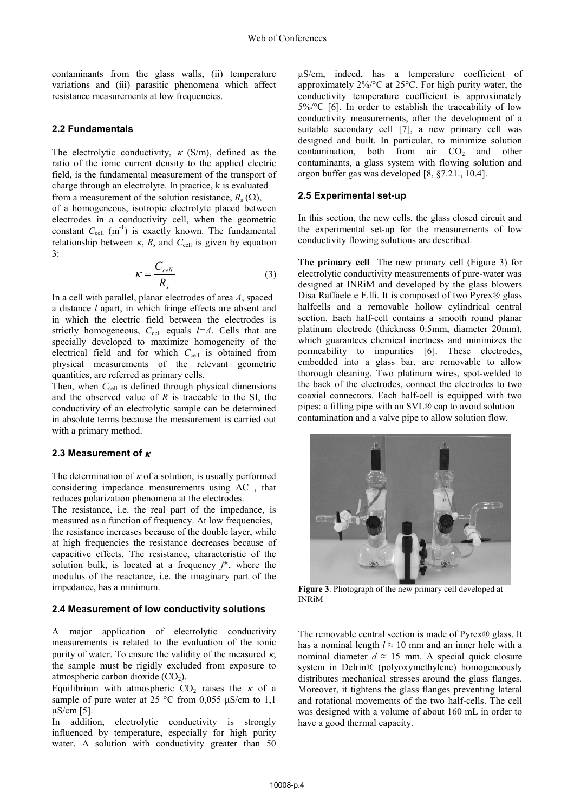contaminants from the glass walls, (ii) temperature variations and (iii) parasitic phenomena which affect resistance measurements at low frequencies.

#### **2.2 Fundamentals**

The electrolytic conductivity,  $\kappa$  (S/m), defined as the ratio of the ionic current density to the applied electric field, is the fundamental measurement of the transport of charge through an electrolyte. In practice, k is evaluated from a measurement of the solution resistance,  $R_s(\Omega)$ , of a homogeneous, isotropic electrolyte placed between electrodes in a conductivity cell, when the geometric constant  $C_{cell}$  (m<sup>-1</sup>) is exactly known. The fundamental relationship between  $\kappa$ ,  $R_s$  and  $C_{\text{cell}}$  is given by equation 3:

$$
\kappa = \frac{C_{cell}}{R_s} \tag{3}
$$

In a cell with parallel, planar electrodes of area *A*, spaced a distance *l* apart, in which fringe effects are absent and in which the electric field between the electrodes is strictly homogeneous,  $C_{cell}$  equals  $l=A$ . Cells that are specially developed to maximize homogeneity of the electrical field and for which *C*<sub>cell</sub> is obtained from physical measurements of the relevant geometric quantities, are referred as primary cells.

Then, when  $C_{\text{cell}}$  is defined through physical dimensions and the observed value of *R* is traceable to the SI, the conductivity of an electrolytic sample can be determined in absolute terms because the measurement is carried out with a primary method.

#### **2.3 Measurement of** <sup>κ</sup>

The determination of  $\kappa$  of a solution, is usually performed considering impedance measurements using AC , that reduces polarization phenomena at the electrodes.

The resistance, i.e. the real part of the impedance, is measured as a function of frequency. At low frequencies, the resistance increases because of the double layer, while at high frequencies the resistance decreases because of capacitive effects. The resistance, characteristic of the solution bulk, is located at a frequency *f*\*, where the modulus of the reactance, i.e. the imaginary part of the impedance, has a minimum.

#### **2.4 Measurement of low conductivity solutions**

A major application of electrolytic conductivity measurements is related to the evaluation of the ionic purity of water. To ensure the validity of the measured  $\kappa$ , the sample must be rigidly excluded from exposure to atmospheric carbon dioxide  $(CO<sub>2</sub>)$ .

Equilibrium with atmospheric  $CO<sub>2</sub>$  raises the  $\kappa$  of a sample of pure water at 25 °C from 0,055  $\mu$ S/cm to 1,1 µS/cm [5].

In addition, electrolytic conductivity is strongly influenced by temperature, especially for high purity water. A solution with conductivity greater than 50

µS/cm, indeed, has a temperature coefficient of approximately 2%/°C at 25°C. For high purity water, the conductivity temperature coefficient is approximately 5%/°C [6]. In order to establish the traceability of low conductivity measurements, after the development of a suitable secondary cell [7], a new primary cell was designed and built. In particular, to minimize solution contamination, both from air  $CO<sub>2</sub>$  and other contaminants, a glass system with flowing solution and argon buffer gas was developed [8, §7.21., 10.4].

### **2.5 Experimental set-up**

In this section, the new cells, the glass closed circuit and the experimental set-up for the measurements of low conductivity flowing solutions are described.

**The primary cell** The new primary cell (Figure 3) for electrolytic conductivity measurements of pure-water was designed at INRiM and developed by the glass blowers Disa Raffaele e F.lli. It is composed of two Pyrex® glass halfcells and a removable hollow cylindrical central section. Each half-cell contains a smooth round planar platinum electrode (thickness 0:5mm, diameter 20mm), which guarantees chemical inertness and minimizes the permeability to impurities [6]. These electrodes, embedded into a glass bar, are removable to allow thorough cleaning. Two platinum wires, spot-welded to the back of the electrodes, connect the electrodes to two coaxial connectors. Each half-cell is equipped with two pipes: a filling pipe with an SVL® cap to avoid solution contamination and a valve pipe to allow solution flow.



**Figure 3**. Photograph of the new primary cell developed at INRiM

The removable central section is made of Pyrex® glass. It has a nominal length  $l \approx 10$  mm and an inner hole with a nominal diameter  $d \approx 15$  mm. A special quick closure system in Delrin® (polyoxymethylene) homogeneously distributes mechanical stresses around the glass flanges. Moreover, it tightens the glass flanges preventing lateral and rotational movements of the two half-cells. The cell was designed with a volume of about 160 mL in order to have a good thermal capacity.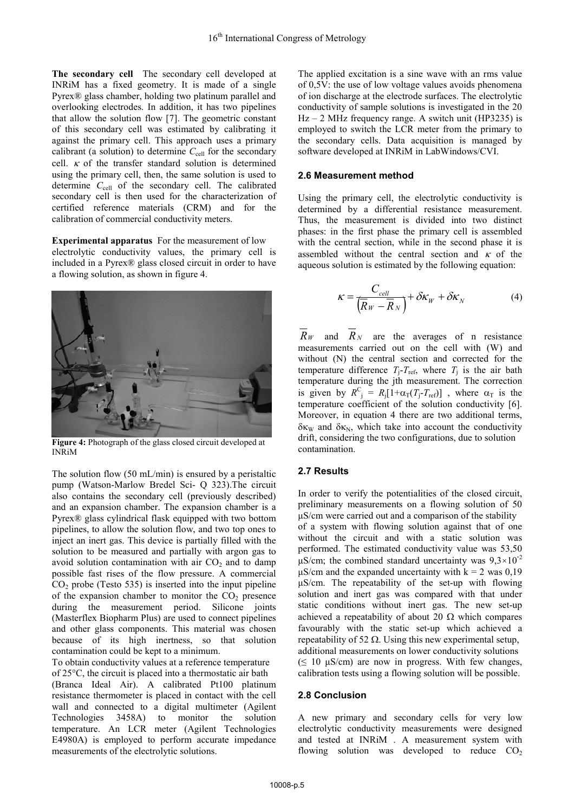**The secondary cell** The secondary cell developed at INRiM has a fixed geometry. It is made of a single Pyrex® glass chamber, holding two platinum parallel and overlooking electrodes. In addition, it has two pipelines that allow the solution flow [7]. The geometric constant of this secondary cell was estimated by calibrating it against the primary cell. This approach uses a primary calibrant (a solution) to determine  $C_{cell}$  for the secondary cell.  $\kappa$  of the transfer standard solution is determined using the primary cell, then, the same solution is used to determine C<sub>cell</sub> of the secondary cell. The calibrated secondary cell is then used for the characterization of certified reference materials (CRM) and for the calibration of commercial conductivity meters.

**Experimental apparatus** For the measurement of low electrolytic conductivity values, the primary cell is included in a Pyrex® glass closed circuit in order to have a flowing solution, as shown in figure 4.



**Figure 4:** Photograph of the glass closed circuit developed at INRiM

The solution flow  $(50 \text{ mL/min})$  is ensured by a peristaltic pump (Watson-Marlow Bredel Sci- Q 323).The circuit also contains the secondary cell (previously described) and an expansion chamber. The expansion chamber is a Pyrex® glass cylindrical flask equipped with two bottom pipelines, to allow the solution flow, and two top ones to inject an inert gas. This device is partially filled with the solution to be measured and partially with argon gas to avoid solution contamination with air  $CO<sub>2</sub>$  and to damp possible fast rises of the flow pressure. A commercial  $CO<sub>2</sub>$  probe (Testo 535) is inserted into the input pipeline of the expansion chamber to monitor the  $CO<sub>2</sub>$  presence during the measurement period. Silicone joints (Masterflex Biopharm Plus) are used to connect pipelines and other glass components. This material was chosen because of its high inertness, so that solution contamination could be kept to a minimum.

To obtain conductivity values at a reference temperature of 25°C, the circuit is placed into a thermostatic air bath (Branca Ideal Air). A calibrated Pt100 platinum resistance thermometer is placed in contact with the cell wall and connected to a digital multimeter (Agilent Technologies 3458A) to monitor the solution temperature. An LCR meter (Agilent Technologies E4980A) is employed to perform accurate impedance measurements of the electrolytic solutions.

The applied excitation is a sine wave with an rms value of 0,5V: the use of low voltage values avoids phenomena of ion discharge at the electrode surfaces. The electrolytic conductivity of sample solutions is investigated in the 20  $Hz - 2 MHz$  frequency range. A switch unit (HP3235) is employed to switch the LCR meter from the primary to the secondary cells. Data acquisition is managed by software developed at INRiM in LabWindows/CVI.

## **2.6 Measurement method**

Using the primary cell, the electrolytic conductivity is determined by a differential resistance measurement. Thus, the measurement is divided into two distinct phases: in the first phase the primary cell is assembled with the central section, while in the second phase it is assembled without the central section and  $\kappa$  of the aqueous solution is estimated by the following equation:

$$
\kappa = \frac{C_{cell}}{\left(\overline{R}_W - \overline{R}_N\right)} + \delta \kappa_W + \delta \kappa_N \tag{4}
$$

 $R_W$  and  $R_N$  are the averages of n resistance measurements carried out on the cell with (W) and without (N) the central section and corrected for the temperature difference  $T_j - T_{\text{ref}}$ , where  $T_j$  is the air bath temperature during the jth measurement. The correction is given by  $R_{j}^{C} = R_{j}[1+\alpha_{T}(T_{j}-T_{ref})]$ , where  $\alpha_{T}$  is the temperature coefficient of the solution conductivity [6]. Moreover, in equation 4 there are two additional terms,  $\delta \kappa_W$  and  $\delta \kappa_N$ , which take into account the conductivity drift, considering the two configurations, due to solution contamination.

## **2.7 Results**

In order to verify the potentialities of the closed circuit, preliminary measurements on a flowing solution of 50 µS/cm were carried out and a comparison of the stability of a system with flowing solution against that of one without the circuit and with a static solution was performed. The estimated conductivity value was 53,50  $\mu$ S/cm; the combined standard uncertainty was  $9.3 \times 10^{-2}$  $\mu$ S/cm and the expanded uncertainty with k = 2 was 0,19 µS/cm. The repeatability of the set-up with flowing solution and inert gas was compared with that under static conditions without inert gas. The new set-up achieved a repeatability of about 20  $\Omega$  which compares favourably with the static set-up which achieved a repeatability of 52  $\Omega$ . Using this new experimental setup, additional measurements on lower conductivity solutions  $( \leq 10 \text{ µS/cm})$  are now in progress. With few changes, calibration tests using a flowing solution will be possible.

## **2.8 Conclusion**

A new primary and secondary cells for very low electrolytic conductivity measurements were designed and tested at INRiM . A measurement system with flowing solution was developed to reduce  $CO<sub>2</sub>$